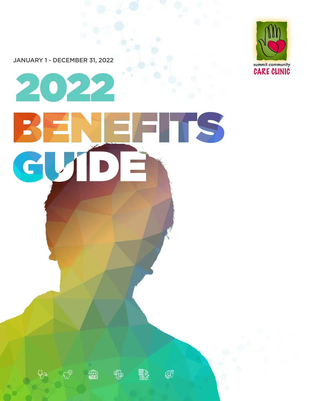JANUARY 1 - DECEMBER 31, 2022

 $\mathbb{G}_{\mathbb{R}}$ 

 $\mathbb{C}^{\oplus}$ 

编

囓





**BA** 

 $\bigotimes^{\hspace{-0.5cm} \textbf{d}}$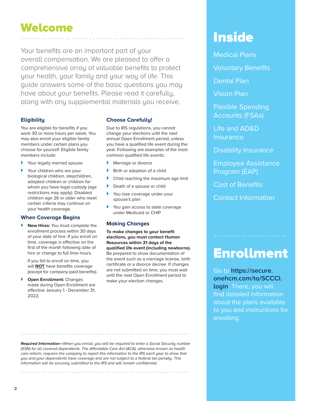# Welcome Inside

Your benefits are an important part of your overall compensation. We are pleased to offer a comprehensive array of valuable benefits to protect your health, your family and your way of life. This guide answers some of the basic questions you may have about your benefits. Please read it carefully, along with any supplemental materials you receive.

#### **Eligibility**

You are eligible for benefits if you work 30 or more hours per week. You may also enroll your eligible family members under certain plans you choose for yourself. Eligible family members include:

- ▶ Your legally married spouse
- Your children who are your biological children, stepchildren, adopted children or children for whom you have legal custody (age restrictions may apply). Disabled children age 26 or older who meet certain criteria may continue on your health coverage.

#### **When Coverage Begins**

**New Hires: You must complete the** enrollment process within 30 days of your date of hire. If you enroll on time, coverage is effective on the first of the month following date of hire or change to full time hours.

If you fail to enroll on time, you will **NOT** have benefits coverage (except for company-paid benefits).

**Open Enrollment: Changes** made during Open Enrollment are effective January 1 - December 31, 2022.

#### **Choose Carefully!**

Due to IRS regulations, you cannot change your elections until the next annual Open Enrollment period, unless you have a qualified life event during the year. Following are examples of the most common qualified life events:

- Marriage or divorce
- Birth or adoption of a child
- Child reaching the maximum age limit
- ▶ Death of a spouse or child
- You lose coverage under your spouse's plan
- You gain access to state coverage under Medicaid or CHIP

#### **Making Changes**

**To make changes to your benefit elections, you must contact Human Resources within 31 days of the qualified life event (including newborns).** Be prepared to show documentation of the event such as a marriage license, birth certificate or a divorce decree. If changes are not submitted on time, you must wait until the next Open Enrollment period to make your election changes.

Medical Plans

Voluntary Benefits

Dental Plan

Vision Plan

Flexible Spending Accounts (FSAs)

Life and AD&D **Insurance** 

Disability Insurance

Employee Assistance Program (EAP)

Cost of Benefits

Contact Information

## Enrollment

. . . . . . . . . . . . . . . .

Go to **https://secure. onehcm.com/ta/SCCCI. login**. There, you will find detailed information about the plans available to you and instructions for enrolling.

**Required Information—**When you enroll, you will be required to enter a Social Security number (SSN) for all covered dependents. The Affordable Care Act (ACA), otherwise known as health care reform, requires the company to report this information to the IRS each year to show that you and your dependents have coverage and are not subject to a federal tax penalty. This information will be securely submitted to the IRS and will remain confidential.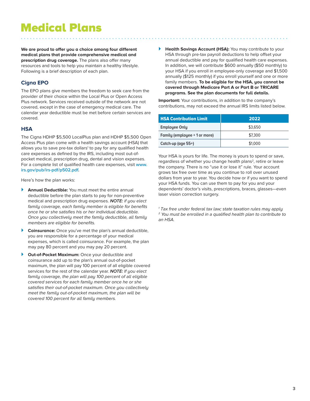### Medical Plans

**We are proud to offer you a choice among four different medical plans that provide comprehensive medical and prescription drug coverage.** The plans also offer many resources and tools to help you maintain a healthy lifestyle. Following is a brief description of each plan.

#### **Cigna EPO**

The EPO plans give members the freedom to seek care from the provider of their choice within the Local Plus or Open Access Plus network. Services received outside of the network are not covered, except in the case of emergency medical care. The calendar year deductible must be met before certain services are covered.

#### **HSA**

The Cigna HDHP \$5,500 LocalPlus plan and HDHP \$5,500 Open Access Plus plan come with a health savings account (HSA) that allows you to save pre-tax dollars<sup>1</sup> to pay for any qualified health care expenses as defined by the IRS, including most out-ofpocket medical, prescription drug, dental and vision expenses. For a complete list of qualified health care expenses, visit **www. irs.gov/pub/irs-pdf/p502.pdf.**

Here's how the plan works:

- } **Annual Deductible:** You must meet the entire annual deductible before the plan starts to pay for non-preventive medical and prescription drug expenses. **NOTE:** if you elect family coverage, each family member is eligible for benefits once he or she satisfies his or her individual deductible. Once you collectively meet the family deductible, all family members are eligible for benefits.
- } **Coinsurance:** Once you've met the plan's annual deductible, you are responsible for a percentage of your medical expenses, which is called coinsurance. For example, the plan may pay 80 percent and you may pay 20 percent.
- **Out-of-Pocket Maximum:** Once your deductible and coinsurance add up to the plan's annual out-of-pocket maximum, the plan will pay 100 percent of all eligible covered services for the rest of the calendar year. **NOTE:** If you elect family coverage, the plan will pay 100 percent of all eligible covered services for each family member once he or she satisfies their out-of-pocket maximum. Once you collectively meet the family out-of-pocket maximum, the plan will be covered 100 percent for all family members.

**Health Savings Account (HSA):** You may contribute to your HSA through pre-tax payroll deductions to help offset your annual deductible and pay for qualified health care expenses. In addition, we will contribute \$600 annually (\$50 monthly) to your HSA if you enroll in employee-only coverage and \$1,500 annually (\$125 monthly) if you enroll yourself and one or more family members. **To be eligible for the HSA, you cannot be covered through Medicare Part A or Part B or TRICARE programs. See the plan documents for full details.**

**Important:** Your contributions, in addition to the company's contributions, may not exceed the annual IRS limits listed below.

| <b>HSA Contribution Limit</b> | 2022    |  |  |
|-------------------------------|---------|--|--|
| <b>Employee Only</b>          | \$3.650 |  |  |
| Family (employee + 1 or more) | \$7,300 |  |  |
| Catch-up (age 55+)            | \$1,000 |  |  |

Your HSA is yours for life. The money is yours to spend or save, regardless of whether you change health plans<sup>2</sup>, retire or leave the company. There is no "use it or lose it" rule. Your account grows tax free over time as you continue to roll over unused dollars from year to year. You decide how or if you want to spend your HSA funds. You can use them to pay for you and your dependents' doctor's visits, prescriptions, braces, glasses—even laser vision correction surgery.

<sup>1</sup> Tax free under federal tax law; state taxation rules may apply  $2$  You must be enrolled in a qualified health plan to contribute to an HSA.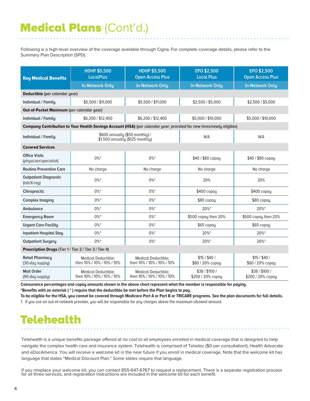### Medical Plans (Cont'd.)

Following is a high-level overview of the coverage available through Cigna. For complete coverage details, please refer to the Summary Plan Description (SPD).

| <b>Key Medical Benefits</b>                            | <b>HDHP \$5,500</b><br><b>LocalPlus</b>                             | <b>HDHP \$5,500</b><br><b>Open Access Plus</b>           | <b>EPO \$2,500</b><br><b>Local Plus</b>                                                                              | EPO \$2,500<br><b>Open Access Plus</b> |  |
|--------------------------------------------------------|---------------------------------------------------------------------|----------------------------------------------------------|----------------------------------------------------------------------------------------------------------------------|----------------------------------------|--|
|                                                        | <b>In-Network Only</b>                                              | <b>In-Network Only</b>                                   | <b>In-Network Only</b>                                                                                               | <b>In-Network Only</b>                 |  |
|                                                        | Deductible (per calendar year)                                      |                                                          |                                                                                                                      |                                        |  |
| Individual / Family                                    | \$5,500 / \$11,000                                                  | \$5,500 / \$11,000                                       | \$2,500 / \$5,000                                                                                                    | \$2,500 / \$5,000                      |  |
| Out-of-Pocket Maximum (per calendar year)              |                                                                     |                                                          |                                                                                                                      |                                        |  |
| Individual / Family                                    | \$6,200 / \$12,400                                                  | \$6,200 / \$12,400                                       | \$5,000 / \$10,000                                                                                                   | \$5,000 / \$10,000                     |  |
|                                                        |                                                                     |                                                          | Company Contribution to Your Health Savings Account (HSA) (per calendar year; prorated for new hires/newly eligible) |                                        |  |
| Individual / Family                                    | \$600 annually (\$50 monthly) /<br>\$1,500 annually (\$125 monthly) |                                                          | N/A                                                                                                                  | N/A                                    |  |
| <b>Covered Services</b>                                |                                                                     |                                                          |                                                                                                                      |                                        |  |
| <b>Office Visits</b><br>(physician/specialist)         | $0\%$ *                                                             | $0\%$ *                                                  | \$40 / \$80 copay                                                                                                    | \$40 / \$80 copay                      |  |
| <b>Routine Preventive Care</b>                         | No charge                                                           | No charge                                                | No charge                                                                                                            | No charge                              |  |
| <b>Outpatient Diagnostic</b><br>$(lab/X-ray)$          | $0\%$ *                                                             | $0\%$ *                                                  | 20%                                                                                                                  | 20%                                    |  |
| Chiropractic                                           | $0\%$ *                                                             | $0\%$ *                                                  | \$400 copay                                                                                                          | \$400 copay                            |  |
| <b>Complex Imaging</b>                                 | $0\%$ *                                                             | $0\%$ *                                                  | $$80$ copay                                                                                                          | $$80$ copay                            |  |
| Ambulance                                              | $0\%$ *                                                             | $0\%$ *                                                  | 20%*                                                                                                                 | 20%*                                   |  |
| <b>Emergency Room</b>                                  | $0\%$ *                                                             | $0\%$ *                                                  | \$500 copay then 20%                                                                                                 | \$500 copay then 20%                   |  |
| <b>Urgent Care Facility</b>                            | $0\%$ *                                                             | $0\%$ *                                                  | \$65 copay                                                                                                           | \$65 copay                             |  |
| <b>Inpatient Hospital Stay</b>                         | $0\%$ *                                                             | $0\%$ *                                                  | 20%*                                                                                                                 | 20%*                                   |  |
| <b>Outpatient Surgery</b>                              | $0\%$ *                                                             | $0\%$ *                                                  | 20%*                                                                                                                 | 20%*                                   |  |
| Prescription Drugs (Tier 1 / Tier 2 / Tier 3 / Tier 4) |                                                                     |                                                          |                                                                                                                      |                                        |  |
| <b>Retail Pharmacy</b><br>(30-day supply)              | <b>Medical Deductible:</b><br>then 10% / 10% / 10% / 10%            | <b>Medical Deductible:</b><br>then 10% / 10% / 10% / 10% | \$15/\$40/<br>\$80 / 20% copay                                                                                       | \$15/\$40/<br>\$80 / 20% copay         |  |
| <b>Mail Order</b><br>(90-day supply)                   | <b>Medical Deductible:</b><br>then 10% / 10% / 10% / 10%            | <b>Medical Deductible:</b><br>then 10% / 10% / 10% / 10% | \$38/\$100/<br>\$200 / 20% copay                                                                                     | \$38/\$100/<br>\$200 / 20% copay       |  |

**Coinsurance percentages and copay amounts shown in the above chart represent what the member is responsible for paying.**

**\*Benefits with an asterisk ( \* ) require that the deductible be met before the Plan begins to pay.** 

**To be eligible for the HSA, you cannot be covered through Medicare Part A or Part B or TRICARE programs. See the plan documents for full details.** 1. If you use an out-of-network provider, you will be responsible for any charges above the maximum allowed amount.

### **Telehealth**

Telehealth is a unique benefits package offered at no cost to all employees enrolled in medical coverage that is designed to help navigate the complex health care and insurance system. Telehealth is comprised of Teladoc (\$0 per consultation!), Health Advocate and eDocAmerica. You will receive a welcome kit in the near future if you enroll in medical coverage. Note that the welcome kit has language that states "Medical Discount Plan." Some states require that language.

If you misplace your welcome kit, you can contact 855-647-6767 to request a replacement. There is a separate registration process for all three services, and registration instructions are included in the welcome kit for each benefit.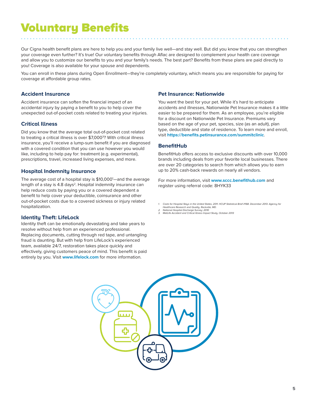### Voluntary Benefits

Our Cigna health benefit plans are here to help you and your family live well—and stay well. But did you know that you can strengthen your coverage even further? It's true! Our voluntary benefits through Aflac are designed to complement your health care coverage and allow you to customize our benefits to you and your family's needs. The best part? Benefits from these plans are paid directly to you! Coverage is also available for your spouse and dependents.

You can enroll in these plans during Open Enrollment—they're completely voluntary, which means you are responsible for paying for coverage at affordable group rates.

#### **Accident Insurance**

Accident insurance can soften the financial impact of an accidental injury by paying a benefit to you to help cover the unexpected out-of-pocket costs related to treating your injuries.

#### **Critical Illness**

Did you know that the average total out-of-pocket cost related to treating a critical illness is over \$7,000<sup>3</sup>? With critical illness insurance, you'll receive a lump-sum benefit if you are diagnosed with a covered condition that you can use however you would like, including to help pay for: treatment (e.g. experimental), prescriptions, travel, increased living expenses, and more.

#### **Hospital Indemnity Insurance**

The average cost of a hospital stay is \$10,000<sup>1</sup>—and the average length of a stay is 4.8 days<sup>2</sup>. Hospital indemnity insurance can help reduce costs by paying you or a covered dependent a benefit to help cover your deductible, coinsurance and other out-of-pocket costs due to a covered sickness or injury related hospitalization.

#### **Identity Theft: LifeLock**

Identity theft can be emotionally devastating and take years to resolve without help from an experienced professional. Replacing documents, cutting through red tape, and untangling fraud is daunting. But with help from LifeLock's experienced team, available 24/7, restoration takes place quickly and effectively, giving customers peace of mind. This benefit is paid entirely by you. Visit **www.lifelock.com** for more information.

#### **Pet Insurance: Nationwide**

You want the best for your pet. While it's hard to anticipate accidents and illnesses, Nationwide Pet Insurance makes it a little easier to be prepared for them. As an employee, you're eligible for a discount on Nationwide Pet Insurance. Premiums vary based on the age of your pet, species, size (as an adult), plan type, deductible and state of residence. To learn more and enroll, visit **https://benefits.petinsurance.com/summitclinic**.

#### **BenefitHub**

BenefitHub offers access to exclusive discounts with over 10,000 brands including deals from your favorite local businesses. There are over 20 categories to search from which allows you to earn up to 20% cash-back rewards on nearly all vendors.

For more information, visit **www.sccc.benefithub.com** and register using referral code: 8HYK33

- 1. Costs for Hospital Stays in the United States, 2011. HCUP Statistical Brief #168. December 2013. Agency for<br>- Healthcare Research and Quality, Rockville, MD.<br>2. National Hospital Discharge Survey: 2010<br>3. MetLife Ac
- 
- 

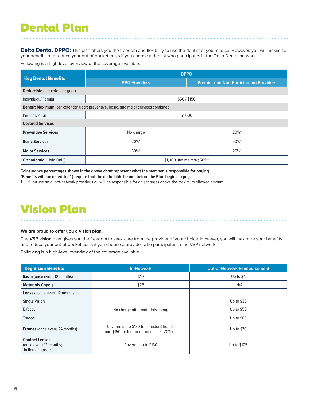### Dental Plan

Delta Dental DPPO: This plan offers you the freedom and flexibility to use the dentist of your choice. However, you will maximize your benefits and reduce your out-of-pocket costs if you choose a dentist who participates in the Delta Dental network.

Following is a high-level overview of the coverage available.

|                                                                                            | <b>DPPO</b>                |                                                |  |
|--------------------------------------------------------------------------------------------|----------------------------|------------------------------------------------|--|
| <b>Key Dental Benefits</b>                                                                 | <b>PPO Providers</b>       | <b>Premier and Non-Participating Providers</b> |  |
| <b>Deductible</b> (per calendar year)                                                      |                            |                                                |  |
| Individual / Family                                                                        | \$50/\$150                 |                                                |  |
| <b>Benefit Maximum</b> (per calendar year; preventive, basic, and major services combined) |                            |                                                |  |
| Per Individual                                                                             | \$1,000                    |                                                |  |
| <b>Covered Services</b>                                                                    |                            |                                                |  |
| <b>Preventive Services</b>                                                                 | No charge                  | 20%*                                           |  |
| <b>Basic Services</b>                                                                      | 20%*                       | $50\%$ *                                       |  |
| <b>Major Services</b>                                                                      | $50\%$ *                   | 25%*                                           |  |
| <b>Orthodontia (Child Only)</b>                                                            | \$1,000 lifetime max: 50%* |                                                |  |

**Coinsurance percentages shown in the above chart represent what the member is responsible for paying.**

**\*Benefits with an asterisk ( \* ) require that the deductible be met before the Plan begins to pay.**

1. If you use an out-of-network provider, you will be responsible for any charges above the maximum allowed amount.

### Vision Plan

#### **We are proud to offer you a vision plan.**

The **VSP vision** plan gives you the freedom to seek care from the provider of your choice. However, you will maximize your benefits and reduce your out-of-pocket costs if you choose a provider who participates in the VSP network.

Following is a high-level overview of the coverage available.

| <b>Key Vision Benefits</b>                                             | <b>In-Network</b>                                                                     | <b>Out-of-Network Reimbursement</b> |  |
|------------------------------------------------------------------------|---------------------------------------------------------------------------------------|-------------------------------------|--|
| <b>Exam</b> (once every 12 months)                                     | \$10                                                                                  | Up to \$45                          |  |
| <b>Materials Copay</b>                                                 | \$25                                                                                  | N/A                                 |  |
| <b>Lenses</b> (once every 12 months)                                   |                                                                                       |                                     |  |
| Single Vision                                                          |                                                                                       | Up to \$30                          |  |
| <b>Bifocal</b>                                                         | No charge after materials copay                                                       | Up to \$50                          |  |
| <b>Trifocal</b>                                                        |                                                                                       | Up to \$65                          |  |
| <b>Frames</b> (once every 24 months)                                   | Covered up to \$130 for standard frames<br>and \$150 for featured frames then 20% off | Up to \$70                          |  |
| <b>Contact Lenses</b><br>(once every 12 months;<br>in lieu of glasses) | Covered up to \$130                                                                   | Up to \$105                         |  |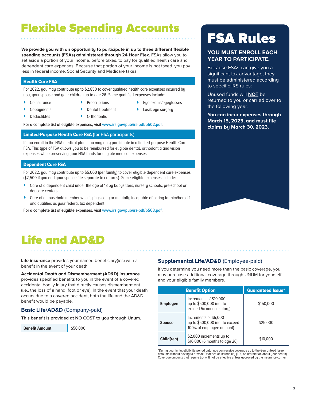### Flexible Spending Accounts

**We provide you with an opportunity to participate in up to three different flexible spending accounts (FSAs) administered through 24 Hour Flex.** FSAs allow you to set aside a portion of your income, before taxes, to pay for qualified health care and dependent care expenses. Because that portion of your income is not taxed, you pay less in federal income, Social Security and Medicare taxes.

#### Health Care FSA

For 2022, you may contribute up to \$2,850 to cover qualified health care expenses incurred by you, your spouse and your children up to age 26. Some qualified expenses include:

- **Coinsurance**
- **Prescriptions**
- **Copayments Deductibles**
- Dental treatment
- } Eye exams/eyeglasses
- 
- Lasik eye surgery
- **Orthodontia**
- **For a complete list of eligible expenses, visit www.irs.gov/pub/irs-pdf/p502.pdf.**

#### Limited-Purpose Health Care FSA **(for HSA participants)**

If you enroll in the HSA medical plan, you may only participate in a limited-purpose Health Care FSA. This type of FSA allows you to be reimbursed for eligible dental, orthodontia and vision expenses while preserving your HSA funds for eligible medical expenses.

#### Dependent Care FSA

For 2022, you may contribute up to \$5,000 (per family) to cover eligible dependent care expenses (\$2,500 if you and your spouse file separate tax returns). Some eligible expenses include:

- } Care of a dependent child under the age of 13 by babysitters, nursery schools, pre-school or daucare centers
- } Care of a household member who is physically or mentally incapable of caring for him/herself and qualifies as your federal tax dependent

**For a complete list of eligible expenses, visit www.irs.gov/pub/irs-pdf/p503.pdf.**

### FSA Rules

#### **YOU MUST ENROLL EACH YEAR TO PARTICIPATE.**

Because FSAs can give you a significant tax advantage, they must be administered according to specific IRS rules:

Unused funds will **NOT** be returned to you or carried over to the following year.

**You can incur expenses through March 15, 2023, and must file claims by March 30, 2023.**



### Life and AD&D

**Life insurance** provides your named beneficiary(ies) with a benefit in the event of your death.

**Accidental Death and Dismemberment (AD&D) insurance**

provides specified benefits to you in the event of a covered accidental bodily injury that directly causes dismemberment (i.e., the loss of a hand, foot or eye). In the event that your death occurs due to a covered accident, both the life and the AD&D benefit would be payable.

#### **Basic Life/AD&D** (Company-paid)

**This benefit is provided at NO COST to you through Unum.** 

**Benefit Amount** \$50,000

#### **Supplemental Life/AD&D** (Employee-paid)

If you determine you need more than the basic coverage, you may purchase additional coverage through UNUM for yourself and your eligible family members.

| <b>Benefit Option</b> |                                                                                     | <b>Guaranteed Issue*</b> |
|-----------------------|-------------------------------------------------------------------------------------|--------------------------|
| <b>Employee</b>       | Increments of \$10,000<br>up to \$500,000 (not to<br>exceed 5x annual salary)       | \$150,000                |
| <b>Spouse</b>         | Increments of \$5,000<br>up to \$500,000 (not to exceed<br>100% of employee amount) | \$25,000                 |
| Child(ren)            | \$2,000 increments up to<br>\$10,000 (6 months to age 26)                           | \$10,000                 |

\*During your initial eligibility period only, you can receive coverage up to the Guaranteed Issue amounts without having to provide Evidence of Insurability (EOI, or information about your health). Coverage amounts that require EOI will not be effective unless approved by the insurance carrier.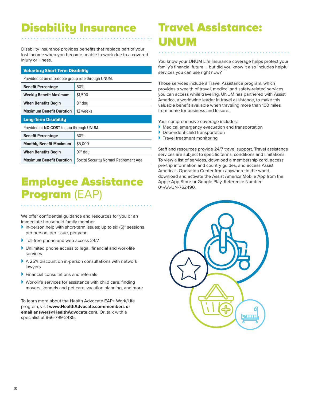### Disability Insurance

Disability insurance provides benefits that replace part of your lost income when you become unable to work due to a covered injury or illness.

#### Voluntary Short-Term Disability

Provided at an affordable group rate through UNUM.

| <b>Benefit Percentage</b>                                                | 60%                  |  |
|--------------------------------------------------------------------------|----------------------|--|
| <b>Weekly Benefit Maximum</b>                                            | \$1,500              |  |
| <b>When Benefits Begin</b>                                               | 8 <sup>th</sup> day  |  |
| <b>Maximum Benefit Duration</b><br>12 weeks                              |                      |  |
| <b>Long-Term Disability</b>                                              |                      |  |
| Provided at <b>NO COST</b> to you through UNUM.                          |                      |  |
| <b>Benefit Percentage</b>                                                | 60%                  |  |
| \$5,000<br><b>Monthly Benefit Maximum</b>                                |                      |  |
| <b>When Benefits Begin</b>                                               | 91 <sup>st</sup> day |  |
| <b>Maximum Benefit Duration</b><br>Social Security Normal Retirement Age |                      |  |

### Employee Assistance Program (EAP)

We offer confidential guidance and resources for you or an immediate household family member.

- $\blacktriangleright$  In-person help with short-term issues; up to six (6)\* sessions per person, per issue, per year
- } Toll-free phone and web access 24/7
- } Unlimited phone access to legal, financial and work-life services
- ▶ A 25% discount on in-person consultations with network lawyers
- } Financial consultations and referrals
- } Work/life services for assistance with child care, finding movers, kennels and pet care, vacation planning, and more

To learn more about the Health Advocate EAP+ Work/Life program, visit **www.HealthAdvocate.com/members or email answers@HealthAdvocate.com.** Or, talk with a specialist at 866-799-2485.

### Travel Assistance: UNUM

You know your UNUM Life Insurance coverage helps protect your family's financial future … but did you know it also includes helpful services you can use right now?

Those services include a Travel Assistance program, which provides a wealth of travel, medical and safety-related services you can access while traveling. UNUM has partnered with Assist America, a worldwide leader in travel assistance, to make this valuable benefit available when traveling more than 100 miles from home for business and leisure.

Your comprehensive coverage includes:

- } Medical emergency evacuation and transportation
- **Dependent child transportation**
- $\blacktriangleright$  Travel treatment monitoring

Staff and resources provide 24/7 travel support. Travel assistance services are subject to specific terms, conditions and limitations. To view a list of services, download a membership card, access pre-trip information and country guides, and access Assist America's Operation Center from anywhere in the world, download and activate the Assist America Mobile App from the Apple App Store or Google Play. Reference Number 01-AA-UN-762490.